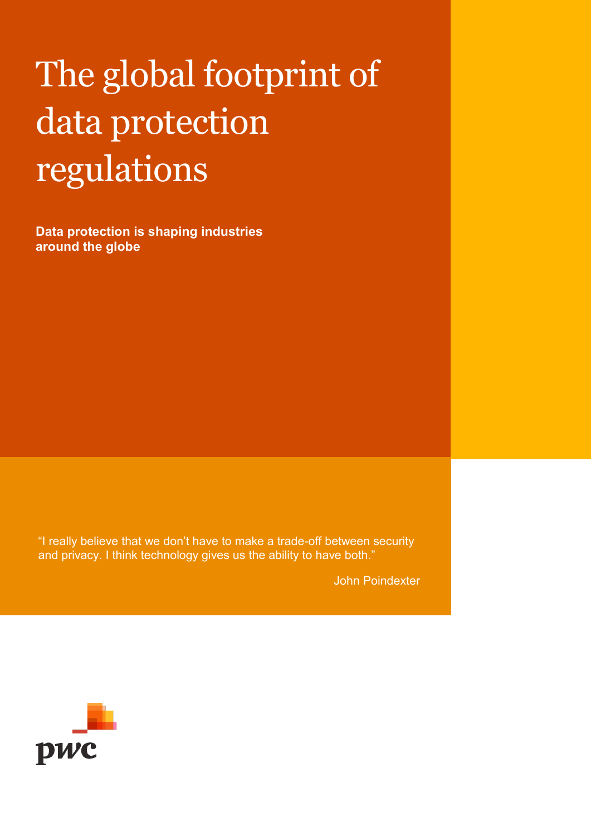# The global footprint of data protection regulations

**Data protection is shaping industries around the globe**

"I really believe that we don't have to make a trade-off between security and privacy. I think technology gives us the ability to have both."

John Poindexter

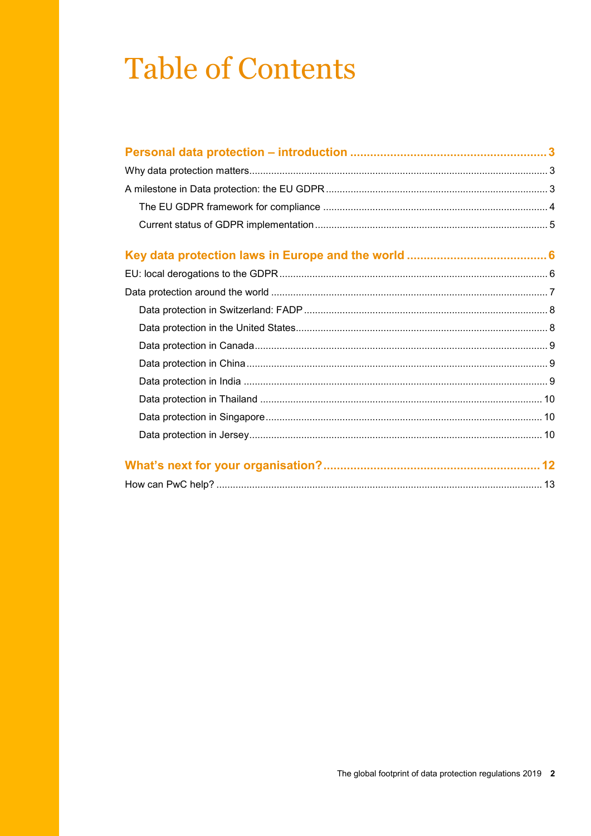## **Table of Contents**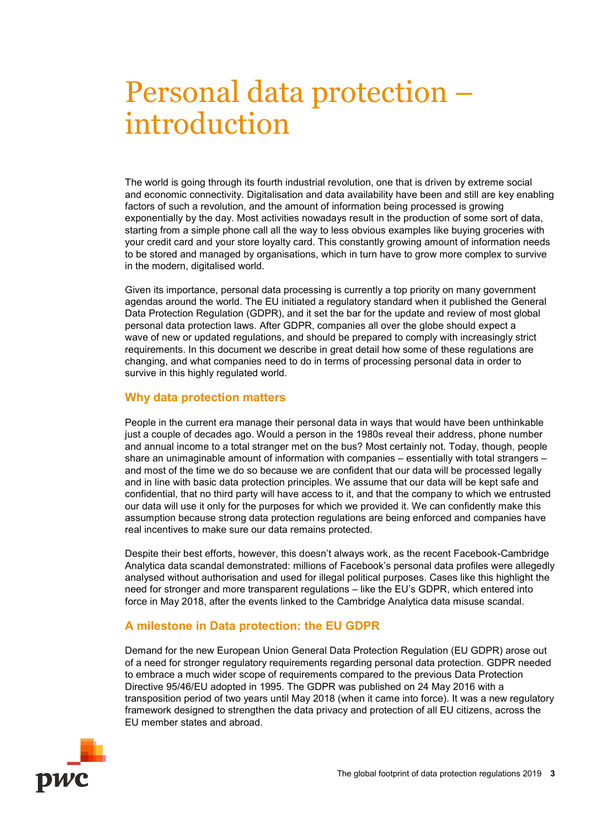## <span id="page-2-0"></span>Personal data protection – introduction

The world is going through its fourth industrial revolution, one that is driven by extreme social and economic connectivity. Digitalisation and data availability have been and still are key enabling factors of such a revolution, and the amount of information being processed is growing exponentially by the day. Most activities nowadays result in the production of some sort of data, starting from a simple phone call all the way to less obvious examples like buying groceries with your credit card and your store loyalty card. This constantly growing amount of information needs to be stored and managed by organisations, which in turn have to grow more complex to survive in the modern, digitalised world.

Given its importance, personal data processing is currently a top priority on many government agendas around the world. The EU initiated a regulatory standard when it published the General Data Protection Regulation (GDPR), and it set the bar for the update and review of most global personal data protection laws. After GDPR, companies all over the globe should expect a wave of new or updated regulations, and should be prepared to comply with increasingly strict requirements. In this document we describe in great detail how some of these regulations are changing, and what companies need to do in terms of processing personal data in order to survive in this highly regulated world.

#### <span id="page-2-1"></span>**Why data protection matters**

People in the current era manage their personal data in ways that would have been unthinkable just a couple of decades ago. Would a person in the 1980s reveal their address, phone number and annual income to a total stranger met on the bus? Most certainly not. Today, though, people share an unimaginable amount of information with companies – essentially with total strangers – and most of the time we do so because we are confident that our data will be processed legally and in line with basic data protection principles. We assume that our data will be kept safe and confidential, that no third party will have access to it, and that the company to which we entrusted our data will use it only for the purposes for which we provided it. We can confidently make this assumption because strong data protection regulations are being enforced and companies have real incentives to make sure our data remains protected.

Despite their best efforts, however, this doesn't always work, as the recent Facebook-Cambridge Analytica data scandal demonstrated: millions of Facebook's personal data profiles were allegedly analysed without authorisation and used for illegal political purposes. Cases like this highlight the need for stronger and more transparent regulations – like the EU's GDPR, which entered into force in May 2018, after the events linked to the Cambridge Analytica data misuse scandal.

#### <span id="page-2-2"></span>**A milestone in Data protection: the EU GDPR**

Demand for the new European Union General Data Protection Regulation (EU GDPR) arose out of a need for stronger regulatory requirements regarding personal data protection. GDPR needed to embrace a much wider scope of requirements compared to the previous Data Protection Directive 95/46/EU adopted in 1995. The GDPR was published on 24 May 2016 with a transposition period of two years until May 2018 (when it came into force). It was a new regulatory framework designed to strengthen the data privacy and protection of all EU citizens, across the EU member states and abroad.

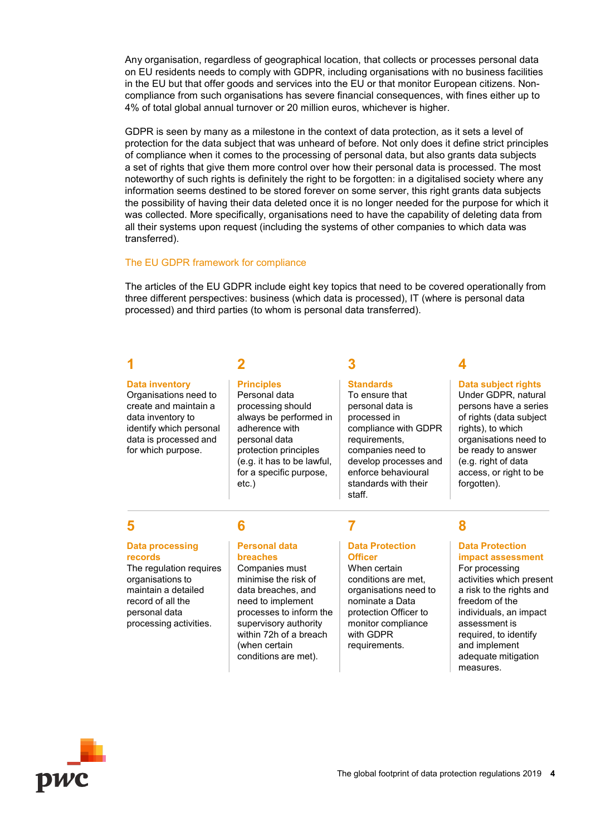Any organisation, regardless of geographical location, that collects or processes personal data on EU residents needs to comply with GDPR, including organisations with no business facilities in the EU but that offer goods and services into the EU or that monitor European citizens. Noncompliance from such organisations has severe financial consequences, with fines either up to 4% of total global annual turnover or 20 million euros, whichever is higher.

GDPR is seen by many as a milestone in the context of data protection, as it sets a level of protection for the data subject that was unheard of before. Not only does it define strict principles of compliance when it comes to the processing of personal data, but also grants data subjects a set of rights that give them more control over how their personal data is processed. The most noteworthy of such rights is definitely the right to be forgotten: in a digitalised society where any information seems destined to be stored forever on some server, this right grants data subjects the possibility of having their data deleted once it is no longer needed for the purpose for which it was collected. More specifically, organisations need to have the capability of deleting data from all their systems upon request (including the systems of other companies to which data was transferred).

#### <span id="page-3-0"></span>The EU GDPR framework for compliance

The articles of the EU GDPR include eight key topics that need to be covered operationally from three different perspectives: business (which data is processed), IT (where is personal data processed) and third parties (to whom is personal data transferred).

**3**

**Standards** To ensure that personal data is processed in

requirements, companies need to develop processes and enforce behavioural standards with their

compliance with GDPR

#### **1**

#### **Data inventory**

Organisations need to create and maintain a data inventory to identify which personal data is processed and for which purpose.

### **2**

#### **Principles**

Personal data processing should always be performed in adherence with personal data protection principles (e.g. it has to be lawful, for a specific purpose, etc.)

**4**

#### **Data subject rights** Under GDPR, natural

persons have a series of rights (data subject rights), to which organisations need to be ready to answer (e.g. right of data access, or right to be forgotten).

#### **5**

#### **Data processing records**

The regulation requires organisations to maintain a detailed record of all the personal data processing activities.

### **6**

#### **Personal data breaches**

Companies must minimise the risk of data breaches, and need to implement processes to inform the supervisory authority within 72h of a breach (when certain conditions are met).

staff.

**7**

#### **Data Protection Officer**

When certain conditions are met, organisations need to nominate a Data protection Officer to monitor compliance with GDPR requirements.

### **8**

#### **Data Protection impact assessment**

For processing activities which present a risk to the rights and freedom of the individuals, an impact assessment is required, to identify and implement adequate mitigation measures.

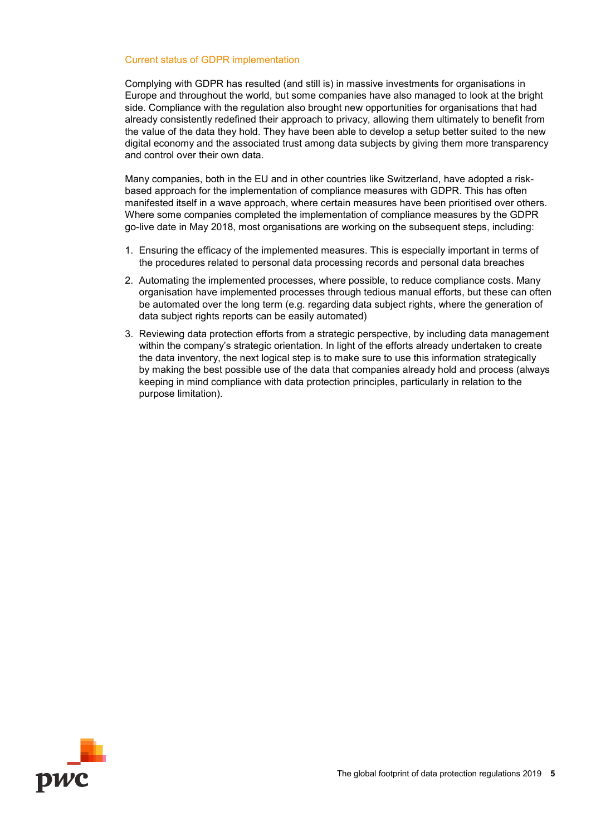#### <span id="page-4-0"></span>Current status of GDPR implementation

Complying with GDPR has resulted (and still is) in massive investments for organisations in Europe and throughout the world, but some companies have also managed to look at the bright side. Compliance with the regulation also brought new opportunities for organisations that had already consistently redefined their approach to privacy, allowing them ultimately to benefit from the value of the data they hold. They have been able to develop a setup better suited to the new digital economy and the associated trust among data subjects by giving them more transparency and control over their own data.

Many companies, both in the EU and in other countries like Switzerland, have adopted a riskbased approach for the implementation of compliance measures with GDPR. This has often manifested itself in a wave approach, where certain measures have been prioritised over others. Where some companies completed the implementation of compliance measures by the GDPR go-live date in May 2018, most organisations are working on the subsequent steps, including:

- 1. Ensuring the efficacy of the implemented measures. This is especially important in terms of the procedures related to personal data processing records and personal data breaches
- 2. Automating the implemented processes, where possible, to reduce compliance costs. Many organisation have implemented processes through tedious manual efforts, but these can often be automated over the long term (e.g. regarding data subject rights, where the generation of data subject rights reports can be easily automated)
- 3. Reviewing data protection efforts from a strategic perspective, by including data management within the company's strategic orientation. In light of the efforts already undertaken to create the data inventory, the next logical step is to make sure to use this information strategically by making the best possible use of the data that companies already hold and process (always keeping in mind compliance with data protection principles, particularly in relation to the purpose limitation).

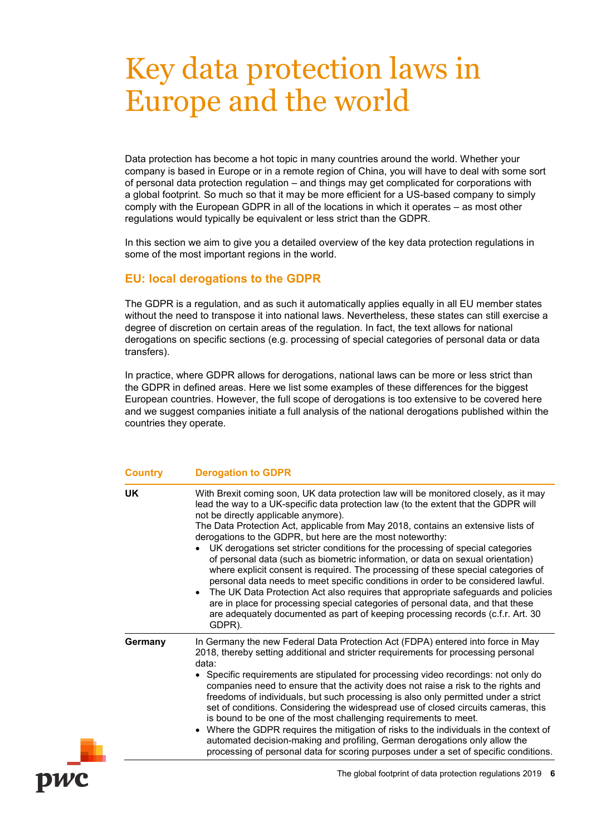## <span id="page-5-0"></span>Key data protection laws in Europe and the world

Data protection has become a hot topic in many countries around the world. Whether your company is based in Europe or in a remote region of China, you will have to deal with some sort of personal data protection regulation – and things may get complicated for corporations with a global footprint. So much so that it may be more efficient for a US-based company to simply comply with the European GDPR in all of the locations in which it operates – as most other regulations would typically be equivalent or less strict than the GDPR.

In this section we aim to give you a detailed overview of the key data protection regulations in some of the most important regions in the world.

#### <span id="page-5-1"></span>**EU: local derogations to the GDPR**

The GDPR is a regulation, and as such it automatically applies equally in all EU member states without the need to transpose it into national laws. Nevertheless, these states can still exercise a degree of discretion on certain areas of the regulation. In fact, the text allows for national derogations on specific sections (e.g. processing of special categories of personal data or data transfers).

In practice, where GDPR allows for derogations, national laws can be more or less strict than the GDPR in defined areas. Here we list some examples of these differences for the biggest European countries. However, the full scope of derogations is too extensive to be covered here and we suggest companies initiate a full analysis of the national derogations published within the countries they operate.

| <b>Country</b> | <b>Derogation to GDPR</b>                                                                                                                                                                                                                                                                                                                                                                                                                                                                                                                                                                                                                                                                                                                                                                                                                                                                                                                                                                     |
|----------------|-----------------------------------------------------------------------------------------------------------------------------------------------------------------------------------------------------------------------------------------------------------------------------------------------------------------------------------------------------------------------------------------------------------------------------------------------------------------------------------------------------------------------------------------------------------------------------------------------------------------------------------------------------------------------------------------------------------------------------------------------------------------------------------------------------------------------------------------------------------------------------------------------------------------------------------------------------------------------------------------------|
| UK             | With Brexit coming soon, UK data protection law will be monitored closely, as it may<br>lead the way to a UK-specific data protection law (to the extent that the GDPR will<br>not be directly applicable anymore).<br>The Data Protection Act, applicable from May 2018, contains an extensive lists of<br>derogations to the GDPR, but here are the most noteworthy:<br>UK derogations set stricter conditions for the processing of special categories<br>of personal data (such as biometric information, or data on sexual orientation)<br>where explicit consent is required. The processing of these special categories of<br>personal data needs to meet specific conditions in order to be considered lawful.<br>• The UK Data Protection Act also requires that appropriate safeguards and policies<br>are in place for processing special categories of personal data, and that these<br>are adequately documented as part of keeping processing records (c.f.r. Art. 30<br>GDPR). |
| Germany        | In Germany the new Federal Data Protection Act (FDPA) entered into force in May<br>2018, thereby setting additional and stricter requirements for processing personal<br>data:<br>• Specific requirements are stipulated for processing video recordings: not only do<br>companies need to ensure that the activity does not raise a risk to the rights and<br>freedoms of individuals, but such processing is also only permitted under a strict<br>set of conditions. Considering the widespread use of closed circuits cameras, this<br>is bound to be one of the most challenging requirements to meet.<br>• Where the GDPR requires the mitigation of risks to the individuals in the context of<br>automated decision-making and profiling, German derogations only allow the<br>processing of personal data for scoring purposes under a set of specific conditions.                                                                                                                   |
|                | The global footprint of data protection regulations 2019 6                                                                                                                                                                                                                                                                                                                                                                                                                                                                                                                                                                                                                                                                                                                                                                                                                                                                                                                                    |

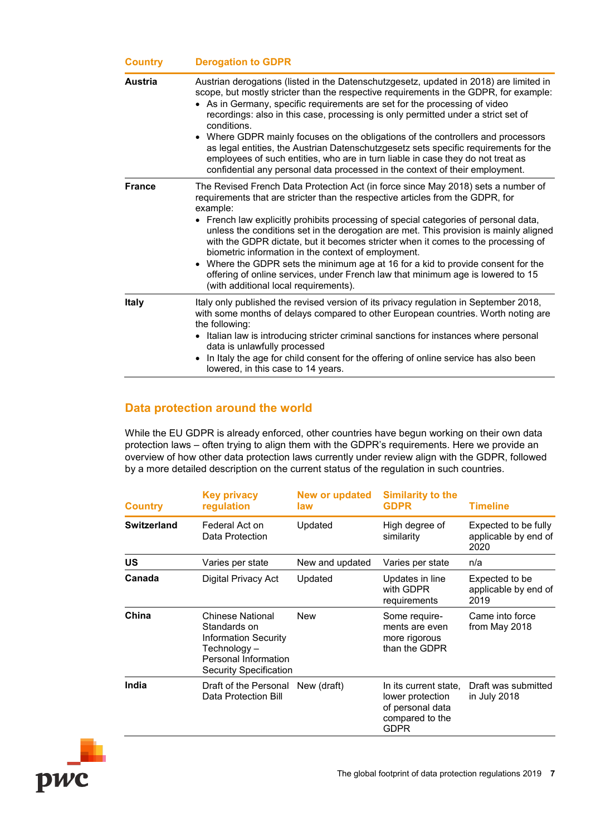| <b>Country</b> | <b>Derogation to GDPR</b>                                                                                                                                                                                                                                                                                                                                                                                                                                                                                                                                                                                                                                                                                                    |
|----------------|------------------------------------------------------------------------------------------------------------------------------------------------------------------------------------------------------------------------------------------------------------------------------------------------------------------------------------------------------------------------------------------------------------------------------------------------------------------------------------------------------------------------------------------------------------------------------------------------------------------------------------------------------------------------------------------------------------------------------|
| <b>Austria</b> | Austrian derogations (listed in the Datenschutzgesetz, updated in 2018) are limited in<br>scope, but mostly stricter than the respective requirements in the GDPR, for example:<br>• As in Germany, specific requirements are set for the processing of video<br>recordings: also in this case, processing is only permitted under a strict set of<br>conditions.<br>• Where GDPR mainly focuses on the obligations of the controllers and processors<br>as legal entities, the Austrian Datenschutzgesetz sets specific requirements for the<br>employees of such entities, who are in turn liable in case they do not treat as<br>confidential any personal data processed in the context of their employment.             |
| <b>France</b>  | The Revised French Data Protection Act (in force since May 2018) sets a number of<br>requirements that are stricter than the respective articles from the GDPR, for<br>example:<br>• French law explicitly prohibits processing of special categories of personal data,<br>unless the conditions set in the derogation are met. This provision is mainly aligned<br>with the GDPR dictate, but it becomes stricter when it comes to the processing of<br>biometric information in the context of employment.<br>• Where the GDPR sets the minimum age at 16 for a kid to provide consent for the<br>offering of online services, under French law that minimum age is lowered to 15<br>(with additional local requirements). |
| <b>Italy</b>   | Italy only published the revised version of its privacy regulation in September 2018,<br>with some months of delays compared to other European countries. Worth noting are<br>the following:<br>• Italian law is introducing stricter criminal sanctions for instances where personal<br>data is unlawfully processed<br>In Italy the age for child consent for the offering of online service has also been<br>$\bullet$<br>lowered, in this case to 14 years.                                                                                                                                                                                                                                                              |

#### <span id="page-6-0"></span>**Data protection around the world**

While the EU GDPR is already enforced, other countries have begun working on their own data protection laws – often trying to align them with the GDPR's requirements. Here we provide an overview of how other data protection laws currently under review align with the GDPR, followed by a more detailed description on the current status of the regulation in such countries.

| <b>Country</b>     | <b>Key privacy</b><br>regulation                                                                                                         | <b>New or updated</b><br>law | <b>Similarity to the</b><br><b>GDPR</b>                                                         | <b>Timeline</b>                                      |
|--------------------|------------------------------------------------------------------------------------------------------------------------------------------|------------------------------|-------------------------------------------------------------------------------------------------|------------------------------------------------------|
| <b>Switzerland</b> | Federal Act on<br>Data Protection                                                                                                        | Updated                      | High degree of<br>similarity                                                                    | Expected to be fully<br>applicable by end of<br>2020 |
| <b>US</b>          | Varies per state                                                                                                                         | New and updated              | Varies per state                                                                                | n/a                                                  |
| Canada             | Digital Privacy Act                                                                                                                      | Updated                      | Updates in line<br>with GDPR<br>requirements                                                    | Expected to be<br>applicable by end of<br>2019       |
| China              | <b>Chinese National</b><br>Standards on<br>Information Security<br>Technology –<br>Personal Information<br><b>Security Specification</b> | <b>New</b>                   | Some require-<br>ments are even<br>more rigorous<br>than the GDPR                               | Came into force<br>from May 2018                     |
| India              | Draft of the Personal<br>Data Protection Bill                                                                                            | New (draft)                  | In its current state,<br>lower protection<br>of personal data<br>compared to the<br><b>GDPR</b> | Draft was submitted<br>in July 2018                  |

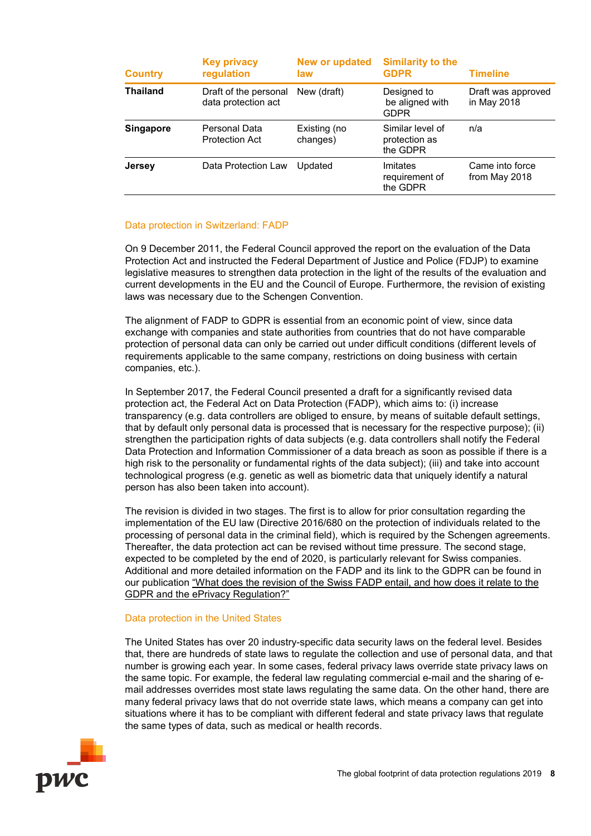| <b>Country</b>   | <b>Key privacy</b><br>regulation             | New or updated<br>law    | <b>Similarity to the</b><br><b>GDPR</b>       | <b>Timeline</b>                   |
|------------------|----------------------------------------------|--------------------------|-----------------------------------------------|-----------------------------------|
| <b>Thailand</b>  | Draft of the personal<br>data protection act | New (draft)              | Designed to<br>be aligned with<br><b>GDPR</b> | Draft was approved<br>in May 2018 |
| <b>Singapore</b> | Personal Data<br><b>Protection Act</b>       | Existing (no<br>changes) | Similar level of<br>protection as<br>the GDPR | n/a                               |
| <b>Jersey</b>    | Data Protection Law                          | Updated                  | Imitates<br>requirement of<br>the GDPR        | Came into force<br>from May 2018  |

#### <span id="page-7-0"></span>Data protection in Switzerland: FADP

On 9 December 2011, the Federal Council approved the report on the evaluation of the Data Protection Act and instructed the Federal Department of Justice and Police (FDJP) to examine legislative measures to strengthen data protection in the light of the results of the evaluation and current developments in the EU and the Council of Europe. Furthermore, the revision of existing laws was necessary due to the Schengen Convention.

The alignment of FADP to GDPR is essential from an economic point of view, since data exchange with companies and state authorities from countries that do not have comparable protection of personal data can only be carried out under difficult conditions (different levels of requirements applicable to the same company, restrictions on doing business with certain companies, etc.).

In September 2017, the Federal Council presented a draft for a significantly revised data protection act, the Federal Act on Data Protection (FADP), which aims to: (i) increase transparency (e.g. data controllers are obliged to ensure, by means of suitable default settings, that by default only personal data is processed that is necessary for the respective purpose); (ii) strengthen the participation rights of data subjects (e.g. data controllers shall notify the Federal Data Protection and Information Commissioner of a data breach as soon as possible if there is a high risk to the personality or fundamental rights of the data subject); (iii) and take into account technological progress (e.g. genetic as well as biometric data that uniquely identify a natural person has also been taken into account).

The revision is divided in two stages. The first is to allow for prior consultation regarding the implementation of the EU law (Directive 2016/680 on the protection of individuals related to the processing of personal data in the criminal field), which is required by the Schengen agreements. Thereafter, the data protection act can be revised without time pressure. The second stage, expected to be completed by the end of 2020, is particularly relevant for Swiss companies. Additional and more detailed information on the FADP and its link to the GDPR can be found in our publication ["What does the revision of the Swiss FADP entail, and how does it relate to the](https://www.pwc.ch/en/publications/2018/e-dsg-pov.pdf)  [GDPR and the ePrivacy Regulation?"](https://www.pwc.ch/en/publications/2018/e-dsg-pov.pdf)

#### <span id="page-7-1"></span>Data protection in the United States

The United States has over 20 industry-specific data security laws on the federal level. Besides that, there are hundreds of state laws to regulate the collection and use of personal data, and that number is growing each year. In some cases, federal privacy laws override state privacy laws on the same topic. For example, the federal law regulating commercial e-mail and the sharing of email addresses overrides most state laws regulating the same data. On the other hand, there are many federal privacy laws that do not override state laws, which means a company can get into situations where it has to be compliant with different federal and state privacy laws that regulate the same types of data, such as medical or health records.

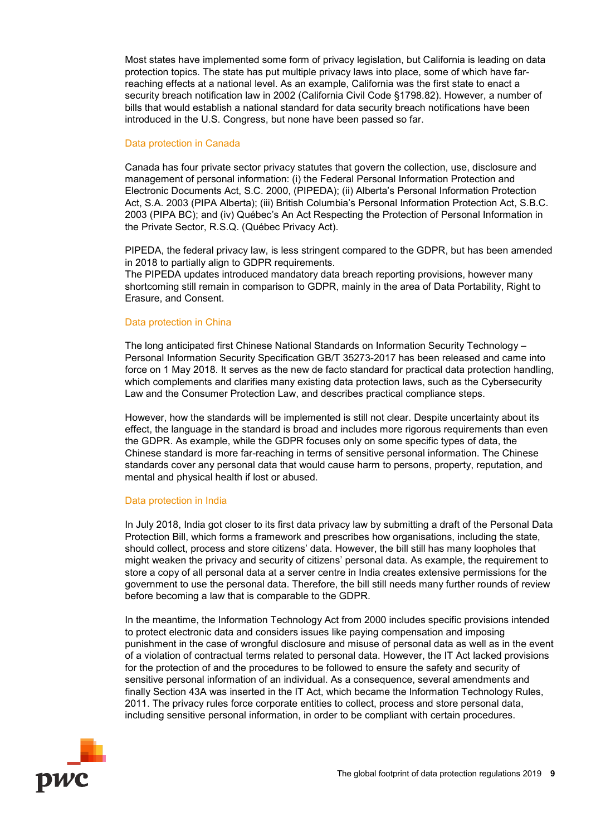Most states have implemented some form of privacy legislation, but California is leading on data protection topics. The state has put multiple privacy laws into place, some of which have farreaching effects at a national level. As an example, California was the first state to enact a security breach notification law in 2002 (California Civil Code §1798.82). However, a number of bills that would establish a national standard for data security breach notifications have been introduced in the U.S. Congress, but none have been passed so far.

#### <span id="page-8-0"></span>Data protection in Canada

Canada has four private sector privacy statutes that govern the collection, use, disclosure and management of personal information: (i) the Federal Personal Information Protection and Electronic Documents Act, S.C. 2000, (PIPEDA); (ii) Alberta's Personal Information Protection Act, S.A. 2003 (PIPA Alberta); (iii) British Columbia's Personal Information Protection Act, S.B.C. 2003 (PIPA BC); and (iv) Québec's An Act Respecting the Protection of Personal Information in the Private Sector, R.S.Q. (Québec Privacy Act).

PIPEDA, the federal privacy law, is less stringent compared to the GDPR, but has been amended in 2018 to partially align to GDPR requirements. The PIPEDA updates introduced mandatory data breach reporting provisions, however many shortcoming still remain in comparison to GDPR, mainly in the area of Data Portability, Right to Erasure, and Consent.

#### <span id="page-8-1"></span>Data protection in China

The long anticipated first Chinese National Standards on Information Security Technology – Personal Information Security Specification GB/T 35273-2017 has been released and came into force on 1 May 2018. It serves as the new de facto standard for practical data protection handling, which complements and clarifies many existing data protection laws, such as the Cybersecurity Law and the Consumer Protection Law, and describes practical compliance steps.

However, how the standards will be implemented is still not clear. Despite uncertainty about its effect, the language in the standard is broad and includes more rigorous requirements than even the GDPR. As example, while the GDPR focuses only on some specific types of data, the Chinese standard is more far-reaching in terms of sensitive personal information. The Chinese standards cover any personal data that would cause harm to persons, property, reputation, and mental and physical health if lost or abused.

#### <span id="page-8-2"></span>Data protection in India

In July 2018, India got closer to its first data privacy law by submitting a draft of the Personal Data Protection Bill, which forms a framework and prescribes how organisations, including the state, should collect, process and store citizens' data. However, the bill still has many loopholes that might weaken the privacy and security of citizens' personal data. As example, the requirement to store a copy of all personal data at a server centre in India creates extensive permissions for the government to use the personal data. Therefore, the bill still needs many further rounds of review before becoming a law that is comparable to the GDPR.

In the meantime, the Information Technology Act from 2000 includes specific provisions intended to protect electronic data and considers issues like paying compensation and imposing punishment in the case of wrongful disclosure and misuse of personal data as well as in the event of a violation of contractual terms related to personal data. However, the IT Act lacked provisions for the protection of and the procedures to be followed to ensure the safety and security of sensitive personal information of an individual. As a consequence, several amendments and finally Section 43A was inserted in the IT Act, which became the Information Technology Rules, 2011. The privacy rules force corporate entities to collect, process and store personal data, including sensitive personal information, in order to be compliant with certain procedures.

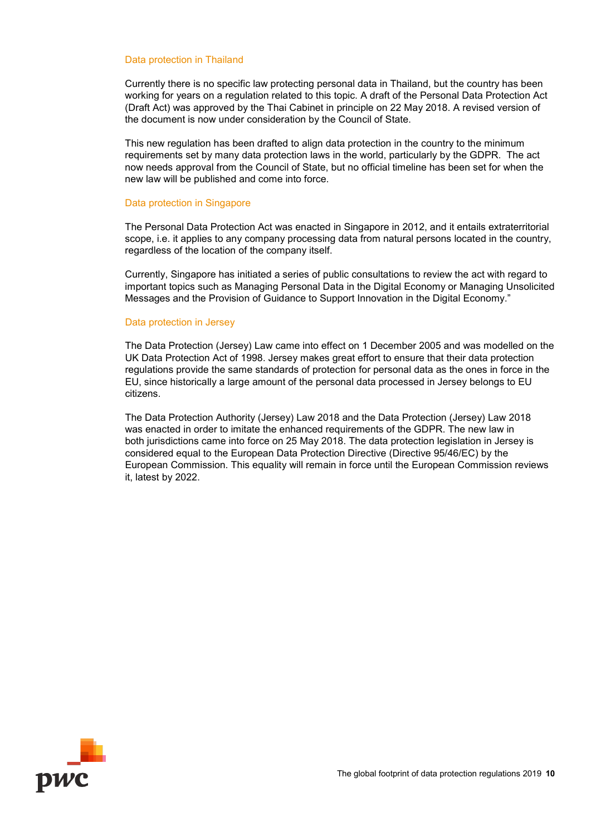#### <span id="page-9-0"></span>Data protection in Thailand

Currently there is no specific law protecting personal data in Thailand, but the country has been working for years on a regulation related to this topic. A draft of the Personal Data Protection Act (Draft Act) was approved by the Thai Cabinet in principle on 22 May 2018. A revised version of the document is now under consideration by the Council of State.

This new regulation has been drafted to align data protection in the country to the minimum requirements set by many data protection laws in the world, particularly by the GDPR. The act now needs approval from the Council of State, but no official timeline has been set for when the new law will be published and come into force.

#### <span id="page-9-1"></span>Data protection in Singapore

The Personal Data Protection Act was enacted in Singapore in 2012, and it entails extraterritorial scope, i.e. it applies to any company processing data from natural persons located in the country, regardless of the location of the company itself.

Currently, Singapore has initiated a series of public consultations to review the act with regard to important topics such as Managing Personal Data in the Digital Economy or Managing Unsolicited Messages and the Provision of Guidance to Support Innovation in the Digital Economy."

#### <span id="page-9-2"></span>Data protection in Jersey

The Data Protection (Jersey) Law came into effect on 1 December 2005 and was modelled on the UK Data Protection Act of 1998. Jersey makes great effort to ensure that their data protection regulations provide the same standards of protection for personal data as the ones in force in the EU, since historically a large amount of the personal data processed in Jersey belongs to EU citizens.

The Data Protection Authority (Jersey) Law 2018 and the Data Protection (Jersey) Law 2018 was enacted in order to imitate the enhanced requirements of the GDPR. The new law in both jurisdictions came into force on 25 May 2018. The data protection legislation in Jersey is considered equal to the European Data Protection Directive (Directive 95/46/EC) by the European Commission. This equality will remain in force until the European Commission reviews it, latest by 2022.

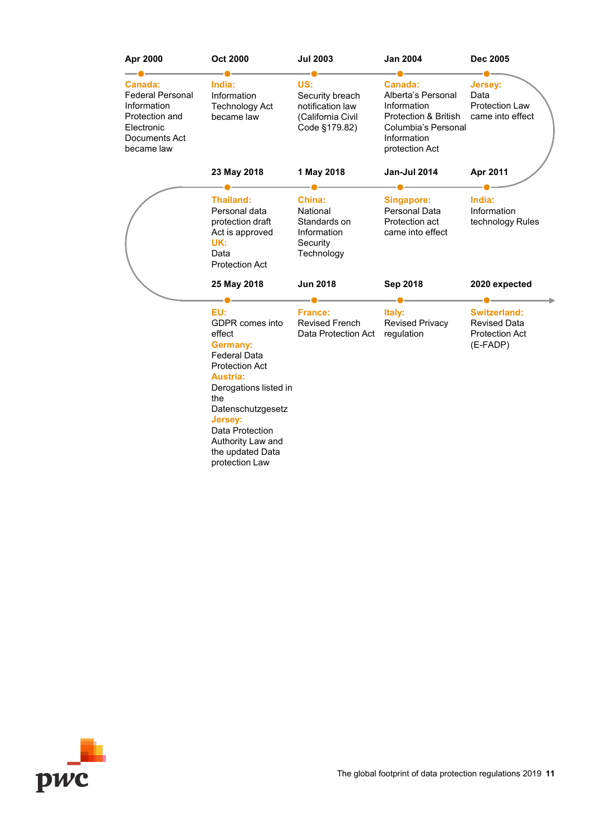| Apr 2000                                                                                                         | <b>Oct 2000</b>                                                                                                                                                                                                                                                             | <b>Jul 2003</b>                                                                  | <b>Jan 2004</b>                                                                                                              | <b>Dec 2005</b>                                                                 |
|------------------------------------------------------------------------------------------------------------------|-----------------------------------------------------------------------------------------------------------------------------------------------------------------------------------------------------------------------------------------------------------------------------|----------------------------------------------------------------------------------|------------------------------------------------------------------------------------------------------------------------------|---------------------------------------------------------------------------------|
| Canada:<br><b>Federal Personal</b><br>Information<br>Protection and<br>Electronic<br>Documents Act<br>became law | India:<br>Information<br><b>Technology Act</b><br>became law                                                                                                                                                                                                                | US:<br>Security breach<br>notification law<br>(California Civil<br>Code §179.82) | Canada:<br>Alberta's Personal<br>Information<br>Protection & British<br>Columbia's Personal<br>Information<br>protection Act | <b>Jersey:</b><br>Data<br><b>Protection Law</b><br>came into effect             |
|                                                                                                                  | 23 May 2018                                                                                                                                                                                                                                                                 | 1 May 2018                                                                       | Jan-Jul 2014                                                                                                                 | Apr 2011                                                                        |
|                                                                                                                  | <b>Thailand:</b><br>Personal data<br>protection draft<br>Act is approved<br>UK:<br>Data<br><b>Protection Act</b>                                                                                                                                                            | China:<br>National<br>Standards on<br>Information<br>Security<br>Technology      | <b>Singapore:</b><br>Personal Data<br>Protection act<br>came into effect                                                     | India:<br>Information<br>technology Rules                                       |
|                                                                                                                  | 25 May 2018                                                                                                                                                                                                                                                                 | <b>Jun 2018</b>                                                                  | Sep 2018                                                                                                                     | 2020 expected                                                                   |
|                                                                                                                  | EU:<br>GDPR comes into<br>effect<br><b>Germany:</b><br><b>Federal Data</b><br><b>Protection Act</b><br><b>Austria:</b><br>Derogations listed in<br>the<br>Datenschutzgesetz<br><b>Jersey:</b><br>Data Protection<br>Authority Law and<br>the updated Data<br>protection Law | <b>France:</b><br><b>Revised French</b><br>Data Protection Act                   | Italy:<br><b>Revised Privacy</b><br>regulation                                                                               | <b>Switzerland:</b><br><b>Revised Data</b><br><b>Protection Act</b><br>(E-FADP) |

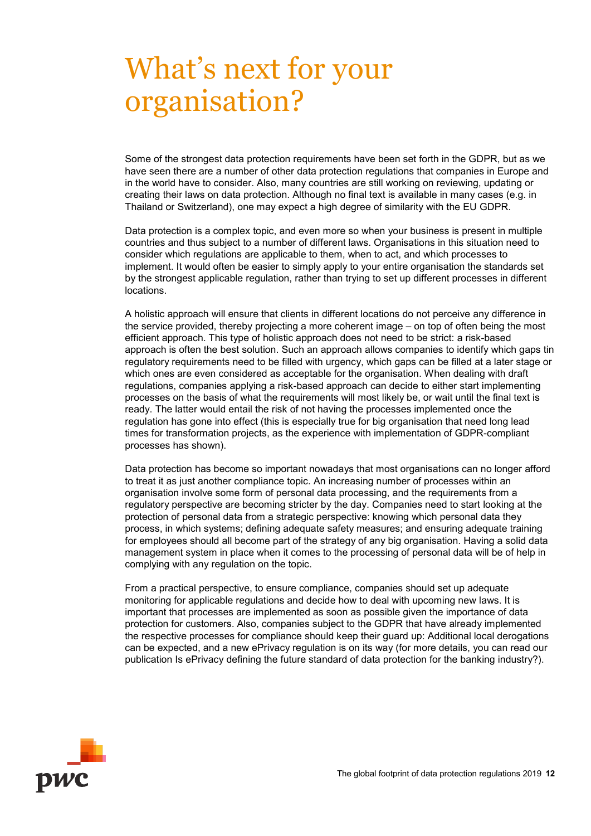## <span id="page-11-0"></span>What's next for your organisation?

Some of the strongest data protection requirements have been set forth in the GDPR, but as we have seen there are a number of other data protection regulations that companies in Europe and in the world have to consider. Also, many countries are still working on reviewing, updating or creating their laws on data protection. Although no final text is available in many cases (e.g. in Thailand or Switzerland), one may expect a high degree of similarity with the EU GDPR.

Data protection is a complex topic, and even more so when your business is present in multiple countries and thus subject to a number of different laws. Organisations in this situation need to consider which regulations are applicable to them, when to act, and which processes to implement. It would often be easier to simply apply to your entire organisation the standards set by the strongest applicable regulation, rather than trying to set up different processes in different locations.

A holistic approach will ensure that clients in different locations do not perceive any difference in the service provided, thereby projecting a more coherent image – on top of often being the most efficient approach. This type of holistic approach does not need to be strict: a risk-based approach is often the best solution. Such an approach allows companies to identify which gaps tin regulatory requirements need to be filled with urgency, which gaps can be filled at a later stage or which ones are even considered as acceptable for the organisation. When dealing with draft regulations, companies applying a risk-based approach can decide to either start implementing processes on the basis of what the requirements will most likely be, or wait until the final text is ready. The latter would entail the risk of not having the processes implemented once the regulation has gone into effect (this is especially true for big organisation that need long lead times for transformation projects, as the experience with implementation of GDPR-compliant processes has shown).

Data protection has become so important nowadays that most organisations can no longer afford to treat it as just another compliance topic. An increasing number of processes within an organisation involve some form of personal data processing, and the requirements from a regulatory perspective are becoming stricter by the day. Companies need to start looking at the protection of personal data from a strategic perspective: knowing which personal data they process, in which systems; defining adequate safety measures; and ensuring adequate training for employees should all become part of the strategy of any big organisation. Having a solid data management system in place when it comes to the processing of personal data will be of help in complying with any regulation on the topic.

From a practical perspective, to ensure compliance, companies should set up adequate monitoring for applicable regulations and decide how to deal with upcoming new laws. It is important that processes are implemented as soon as possible given the importance of data protection for customers. Also, companies subject to the GDPR that have already implemented the respective processes for compliance should keep their guard up: Additional local derogations can be expected, and a new ePrivacy regulation is on its way (for more details, you can read our publication Is ePrivacy defining the future standard of data protection for the banking industry?).

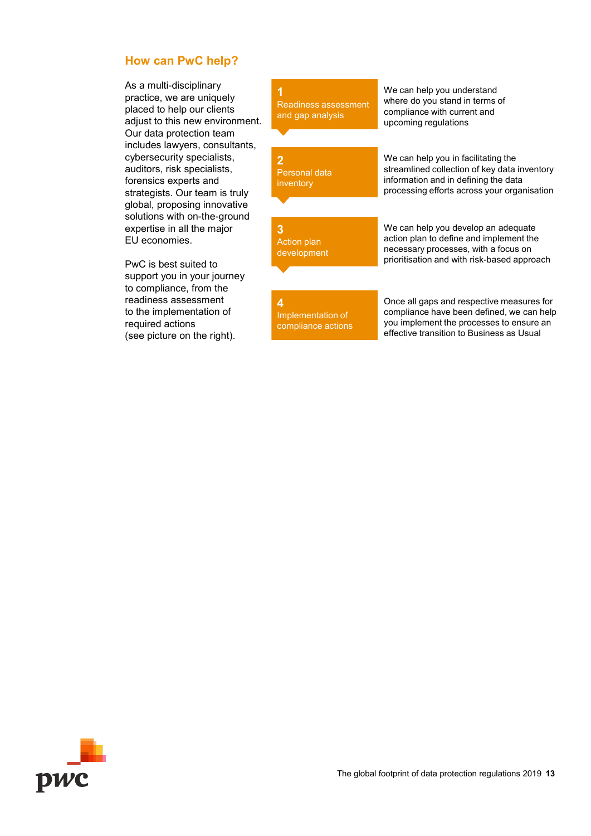#### <span id="page-12-0"></span>**How can PwC help?**

As a multi-disciplinary practice, we are uniquely placed to help our clients adjust to this new environment. Our data protection team includes lawyers, consultants, cybersecurity specialists, auditors, risk specialists, forensics experts and strategists. Our team is truly global, proposing innovative solutions with on-the-ground expertise in all the major EU economies.

PwC is best suited to support you in your journey to compliance, from the readiness assessment to the implementation of required actions (see picture on the right).

**1** Readiness assessment and gap analysis

**2** Personal data inventory

**3** Action plan development We can help you understand where do you stand in terms of compliance with current and upcoming regulations

We can help you in facilitating the streamlined collection of key data inventory information and in defining the data processing efforts across your organisation

We can help you develop an adequate action plan to define and implement the necessary processes, with a focus on prioritisation and with risk-based approach

**4** Implementation of compliance actions

Once all gaps and respective measures for compliance have been defined, we can help you implement the processes to ensure an effective transition to Business as Usual

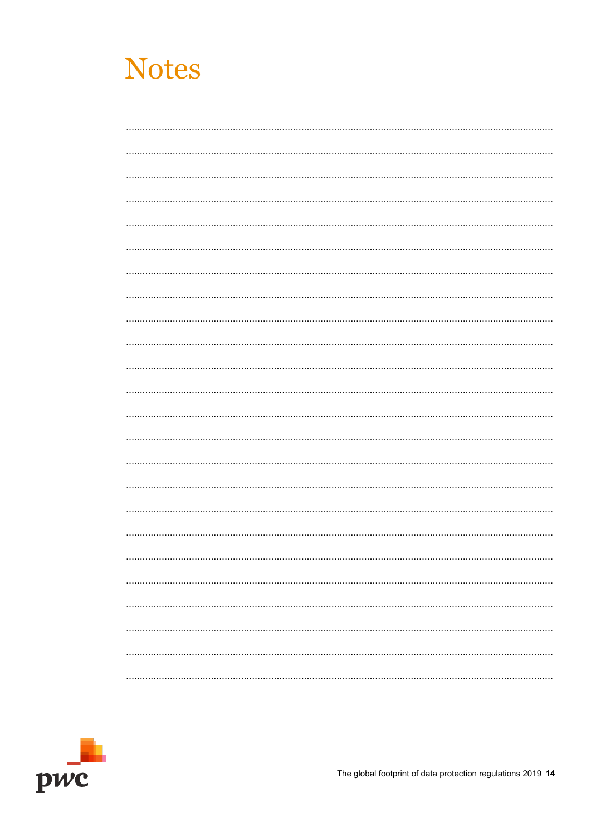

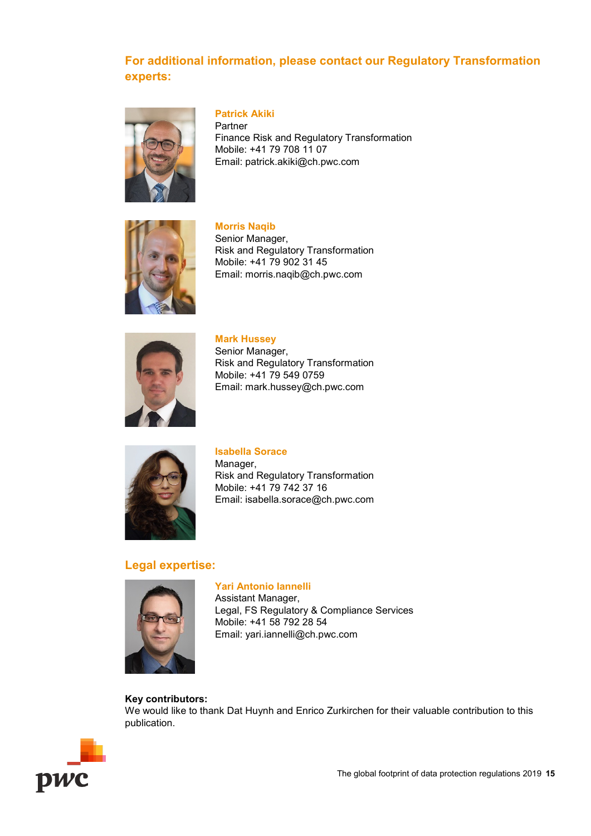#### **For additional information, please contact our Regulatory Transformation experts:**



#### **Patrick Akiki**

Partner Finance Risk and Regulatory Transformation Mobile: +41 79 708 11 07 Email: patrick.akiki@ch.pwc.com



**Morris Naqib** Senior Manager, Risk and Regulatory Transformation Mobile: +41 79 902 31 45 Email: [morris.naqib@ch.pwc.com](mailto:morris.naqib@ch.pwc.com)



**Mark Hussey** Senior Manager, Risk and Regulatory Transformation Mobile: +41 79 549 0759 Email: [mark.hussey@ch.pwc.com](mailto:mark.hussey@ch.pwc.com)



**Isabella Sorace** Manager, Risk and Regulatory Transformation Mobile: +41 79 742 37 16 Email: isabella.sorace@ch.pwc.com

#### **Legal expertise:**



**Yari Antonio Iannelli** Assistant Manager, Legal, FS Regulatory & Compliance Services Mobile: +41 58 792 28 54 Email: yari.iannelli@ch.pwc.com

#### **Key contributors:**

We would like to thank Dat Huynh and Enrico Zurkirchen for their valuable contribution to this publication.